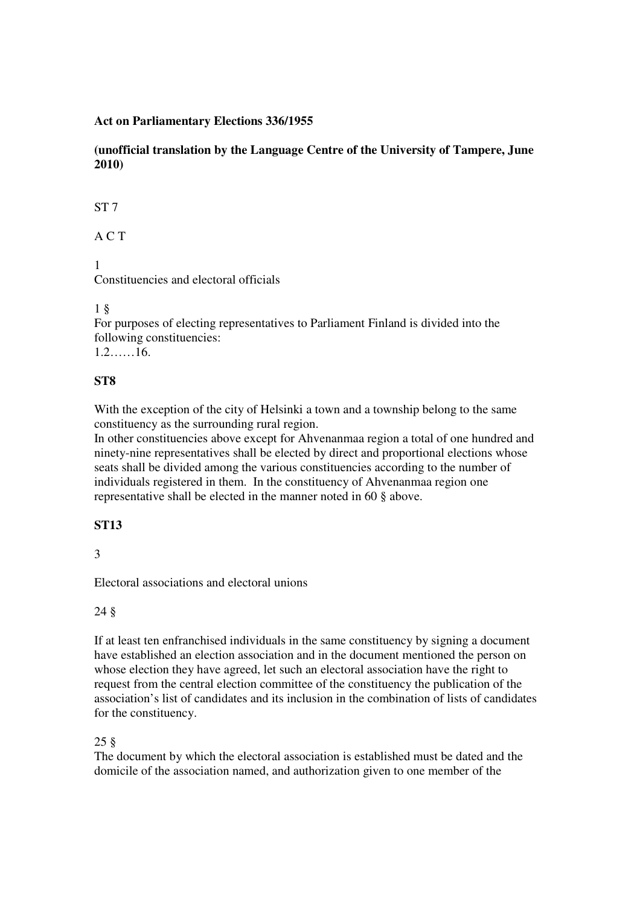### **Act on Parliamentary Elections 336/1955**

**(unofficial translation by the Language Centre of the University of Tampere, June 2010)**

ST 7

A C T

1

Constituencies and electoral officials

### 1 §

For purposes of electing representatives to Parliament Finland is divided into the following constituencies: 1.2……16.

# **ST8**

With the exception of the city of Helsinki a town and a township belong to the same constituency as the surrounding rural region.

In other constituencies above except for Ahvenanmaa region a total of one hundred and ninety-nine representatives shall be elected by direct and proportional elections whose seats shall be divided among the various constituencies according to the number of individuals registered in them. In the constituency of Ahvenanmaa region one representative shall be elected in the manner noted in 60 § above.

# **ST13**

3

Electoral associations and electoral unions

#### 24 §

If at least ten enfranchised individuals in the same constituency by signing a document have established an election association and in the document mentioned the person on whose election they have agreed, let such an electoral association have the right to request from the central election committee of the constituency the publication of the association's list of candidates and its inclusion in the combination of lists of candidates for the constituency.

# 25 §

The document by which the electoral association is established must be dated and the domicile of the association named, and authorization given to one member of the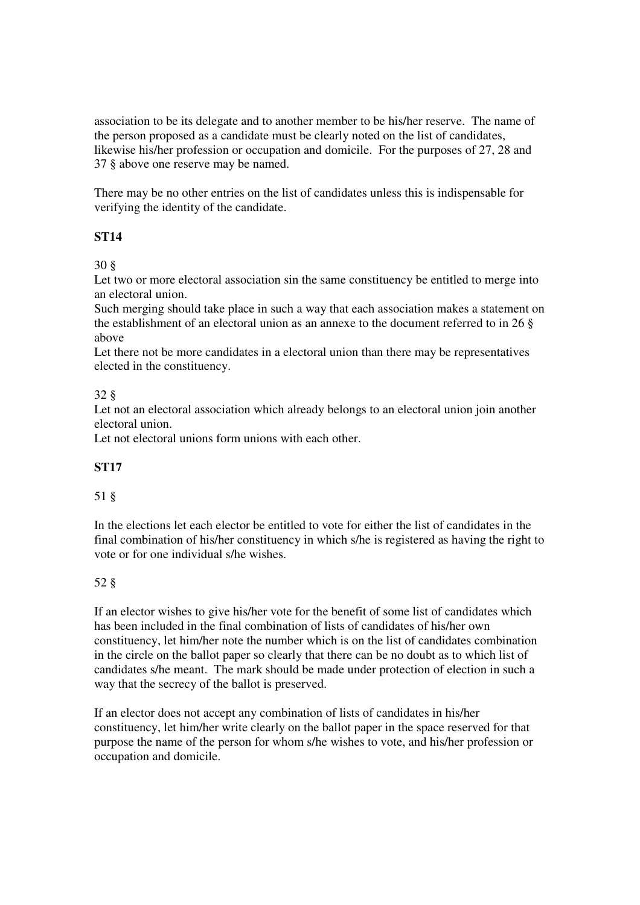association to be its delegate and to another member to be his/her reserve. The name of the person proposed as a candidate must be clearly noted on the list of candidates, likewise his/her profession or occupation and domicile. For the purposes of 27, 28 and 37 § above one reserve may be named.

There may be no other entries on the list of candidates unless this is indispensable for verifying the identity of the candidate.

### **ST14**

30 §

Let two or more electoral association sin the same constituency be entitled to merge into an electoral union.

Such merging should take place in such a way that each association makes a statement on the establishment of an electoral union as an annexe to the document referred to in 26 § above

Let there not be more candidates in a electoral union than there may be representatives elected in the constituency.

### 32 §

Let not an electoral association which already belongs to an electoral union join another electoral union.

Let not electoral unions form unions with each other.

#### **ST17**

#### 51 §

In the elections let each elector be entitled to vote for either the list of candidates in the final combination of his/her constituency in which s/he is registered as having the right to vote or for one individual s/he wishes.

# 52 §

If an elector wishes to give his/her vote for the benefit of some list of candidates which has been included in the final combination of lists of candidates of his/her own constituency, let him/her note the number which is on the list of candidates combination in the circle on the ballot paper so clearly that there can be no doubt as to which list of candidates s/he meant. The mark should be made under protection of election in such a way that the secrecy of the ballot is preserved.

If an elector does not accept any combination of lists of candidates in his/her constituency, let him/her write clearly on the ballot paper in the space reserved for that purpose the name of the person for whom s/he wishes to vote, and his/her profession or occupation and domicile.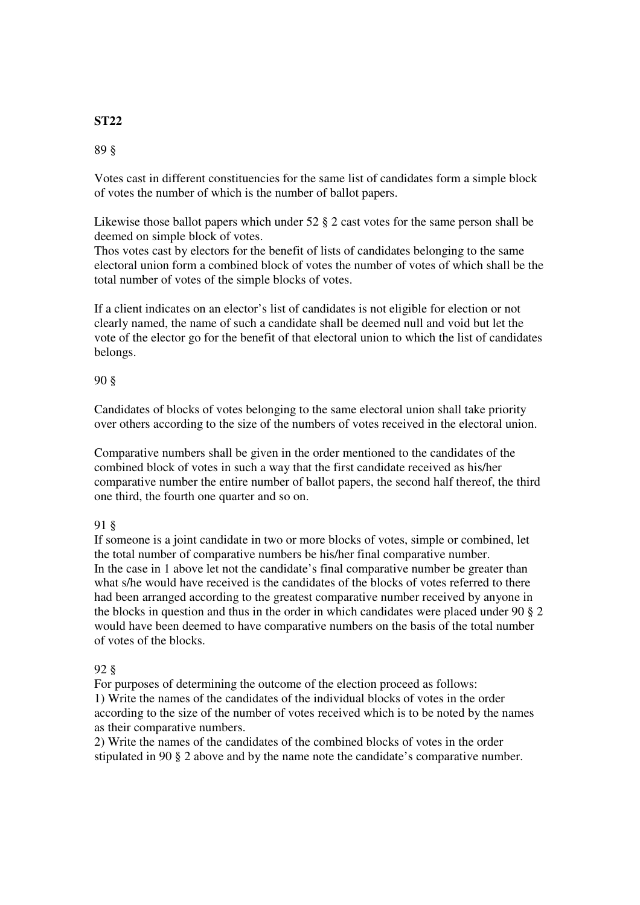# **ST22**

## 89 §

Votes cast in different constituencies for the same list of candidates form a simple block of votes the number of which is the number of ballot papers.

Likewise those ballot papers which under  $52 \text{ }\frac{8}{3}$  2 cast votes for the same person shall be deemed on simple block of votes.

Thos votes cast by electors for the benefit of lists of candidates belonging to the same electoral union form a combined block of votes the number of votes of which shall be the total number of votes of the simple blocks of votes.

If a client indicates on an elector's list of candidates is not eligible for election or not clearly named, the name of such a candidate shall be deemed null and void but let the vote of the elector go for the benefit of that electoral union to which the list of candidates belongs.

### 90 §

Candidates of blocks of votes belonging to the same electoral union shall take priority over others according to the size of the numbers of votes received in the electoral union.

Comparative numbers shall be given in the order mentioned to the candidates of the combined block of votes in such a way that the first candidate received as his/her comparative number the entire number of ballot papers, the second half thereof, the third one third, the fourth one quarter and so on.

# 91 §

If someone is a joint candidate in two or more blocks of votes, simple or combined, let the total number of comparative numbers be his/her final comparative number. In the case in 1 above let not the candidate's final comparative number be greater than what s/he would have received is the candidates of the blocks of votes referred to there had been arranged according to the greatest comparative number received by anyone in the blocks in question and thus in the order in which candidates were placed under 90 § 2 would have been deemed to have comparative numbers on the basis of the total number of votes of the blocks.

# 92 §

For purposes of determining the outcome of the election proceed as follows: 1) Write the names of the candidates of the individual blocks of votes in the order according to the size of the number of votes received which is to be noted by the names as their comparative numbers.

2) Write the names of the candidates of the combined blocks of votes in the order stipulated in 90 § 2 above and by the name note the candidate's comparative number.